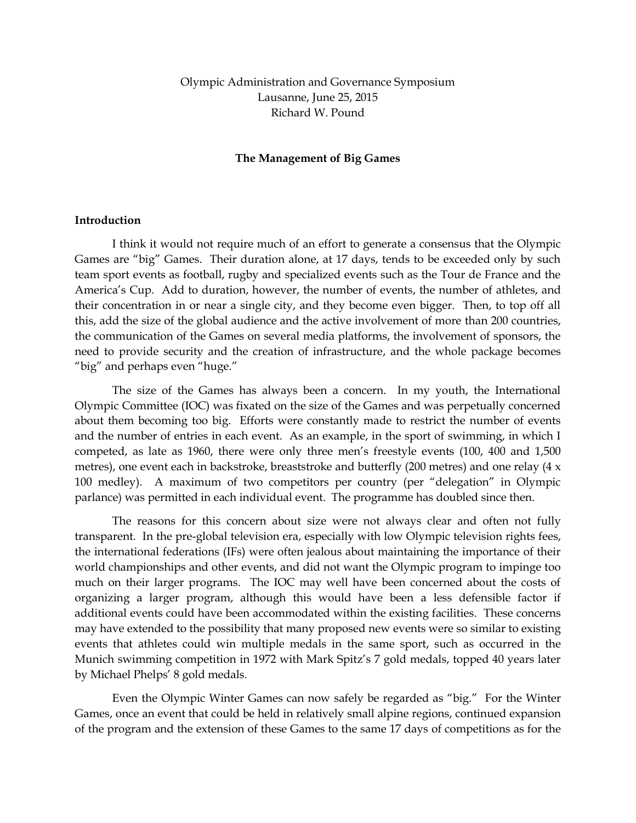# Olympic Administration and Governance Symposium Lausanne, June 25, 2015 Richard W. Pound

#### **The Management of Big Games**

## **Introduction**

I think it would not require much of an effort to generate a consensus that the Olympic Games are "big" Games. Their duration alone, at 17 days, tends to be exceeded only by such team sport events as football, rugby and specialized events such as the Tour de France and the America's Cup. Add to duration, however, the number of events, the number of athletes, and their concentration in or near a single city, and they become even bigger. Then, to top off all this, add the size of the global audience and the active involvement of more than 200 countries, the communication of the Games on several media platforms, the involvement of sponsors, the need to provide security and the creation of infrastructure, and the whole package becomes "big" and perhaps even "huge."

The size of the Games has always been a concern. In my youth, the International Olympic Committee (IOC) was fixated on the size of the Games and was perpetually concerned about them becoming too big. Efforts were constantly made to restrict the number of events and the number of entries in each event. As an example, in the sport of swimming, in which I competed, as late as 1960, there were only three men's freestyle events (100, 400 and 1,500 metres), one event each in backstroke, breaststroke and butterfly (200 metres) and one relay (4 x 100 medley). A maximum of two competitors per country (per "delegation" in Olympic parlance) was permitted in each individual event. The programme has doubled since then.

The reasons for this concern about size were not always clear and often not fully transparent. In the pre-global television era, especially with low Olympic television rights fees, the international federations (IFs) were often jealous about maintaining the importance of their world championships and other events, and did not want the Olympic program to impinge too much on their larger programs. The IOC may well have been concerned about the costs of organizing a larger program, although this would have been a less defensible factor if additional events could have been accommodated within the existing facilities. These concerns may have extended to the possibility that many proposed new events were so similar to existing events that athletes could win multiple medals in the same sport, such as occurred in the Munich swimming competition in 1972 with Mark Spitz's 7 gold medals, topped 40 years later by Michael Phelps' 8 gold medals.

Even the Olympic Winter Games can now safely be regarded as "big." For the Winter Games, once an event that could be held in relatively small alpine regions, continued expansion of the program and the extension of these Games to the same 17 days of competitions as for the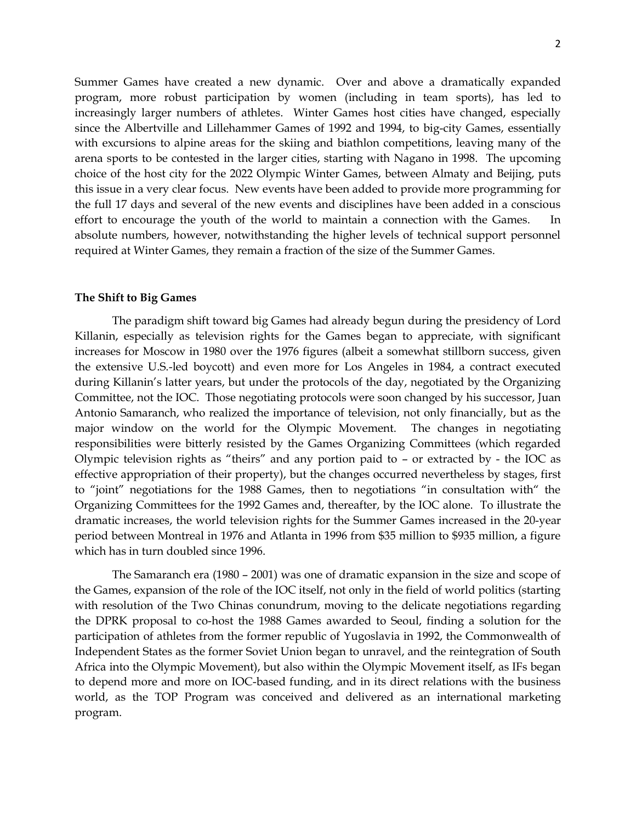2

Summer Games have created a new dynamic. Over and above a dramatically expanded program, more robust participation by women (including in team sports), has led to increasingly larger numbers of athletes. Winter Games host cities have changed, especially since the Albertville and Lillehammer Games of 1992 and 1994, to big-city Games, essentially with excursions to alpine areas for the skiing and biathlon competitions, leaving many of the arena sports to be contested in the larger cities, starting with Nagano in 1998. The upcoming choice of the host city for the 2022 Olympic Winter Games, between Almaty and Beijing, puts this issue in a very clear focus. New events have been added to provide more programming for the full 17 days and several of the new events and disciplines have been added in a conscious effort to encourage the youth of the world to maintain a connection with the Games. In absolute numbers, however, notwithstanding the higher levels of technical support personnel required at Winter Games, they remain a fraction of the size of the Summer Games.

# **The Shift to Big Games**

The paradigm shift toward big Games had already begun during the presidency of Lord Killanin, especially as television rights for the Games began to appreciate, with significant increases for Moscow in 1980 over the 1976 figures (albeit a somewhat stillborn success, given the extensive U.S.-led boycott) and even more for Los Angeles in 1984, a contract executed during Killanin's latter years, but under the protocols of the day, negotiated by the Organizing Committee, not the IOC. Those negotiating protocols were soon changed by his successor, Juan Antonio Samaranch, who realized the importance of television, not only financially, but as the major window on the world for the Olympic Movement. The changes in negotiating responsibilities were bitterly resisted by the Games Organizing Committees (which regarded Olympic television rights as "theirs" and any portion paid to – or extracted by - the IOC as effective appropriation of their property), but the changes occurred nevertheless by stages, first to "joint" negotiations for the 1988 Games, then to negotiations "in consultation with" the Organizing Committees for the 1992 Games and, thereafter, by the IOC alone. To illustrate the dramatic increases, the world television rights for the Summer Games increased in the 20-year period between Montreal in 1976 and Atlanta in 1996 from \$35 million to \$935 million, a figure which has in turn doubled since 1996.

The Samaranch era (1980 – 2001) was one of dramatic expansion in the size and scope of the Games, expansion of the role of the IOC itself, not only in the field of world politics (starting with resolution of the Two Chinas conundrum, moving to the delicate negotiations regarding the DPRK proposal to co-host the 1988 Games awarded to Seoul, finding a solution for the participation of athletes from the former republic of Yugoslavia in 1992, the Commonwealth of Independent States as the former Soviet Union began to unravel, and the reintegration of South Africa into the Olympic Movement), but also within the Olympic Movement itself, as IFs began to depend more and more on IOC-based funding, and in its direct relations with the business world, as the TOP Program was conceived and delivered as an international marketing program.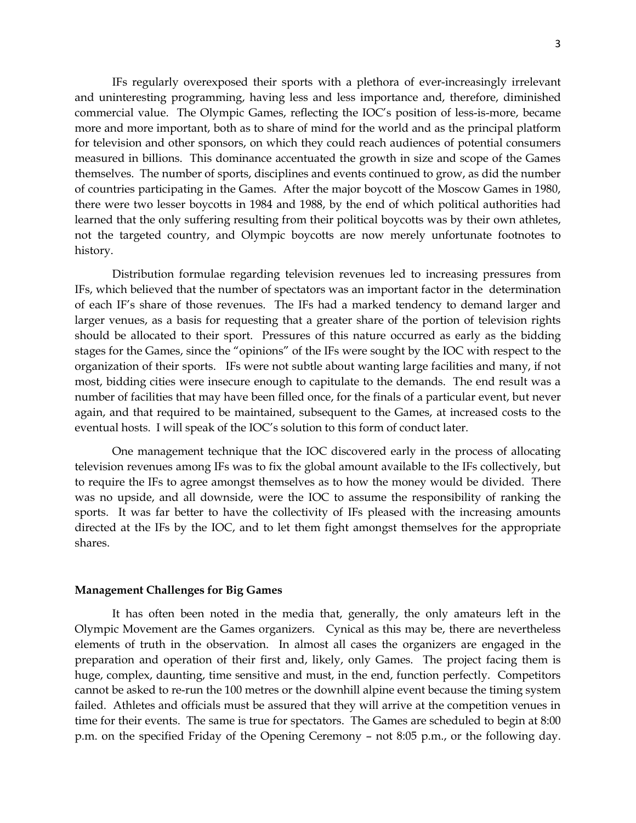IFs regularly overexposed their sports with a plethora of ever-increasingly irrelevant and uninteresting programming, having less and less importance and, therefore, diminished commercial value. The Olympic Games, reflecting the IOC's position of less-is-more, became more and more important, both as to share of mind for the world and as the principal platform for television and other sponsors, on which they could reach audiences of potential consumers measured in billions. This dominance accentuated the growth in size and scope of the Games themselves. The number of sports, disciplines and events continued to grow, as did the number of countries participating in the Games. After the major boycott of the Moscow Games in 1980, there were two lesser boycotts in 1984 and 1988, by the end of which political authorities had learned that the only suffering resulting from their political boycotts was by their own athletes, not the targeted country, and Olympic boycotts are now merely unfortunate footnotes to history.

Distribution formulae regarding television revenues led to increasing pressures from IFs, which believed that the number of spectators was an important factor in the determination of each IF's share of those revenues. The IFs had a marked tendency to demand larger and larger venues, as a basis for requesting that a greater share of the portion of television rights should be allocated to their sport. Pressures of this nature occurred as early as the bidding stages for the Games, since the "opinions" of the IFs were sought by the IOC with respect to the organization of their sports. IFs were not subtle about wanting large facilities and many, if not most, bidding cities were insecure enough to capitulate to the demands. The end result was a number of facilities that may have been filled once, for the finals of a particular event, but never again, and that required to be maintained, subsequent to the Games, at increased costs to the eventual hosts. I will speak of the IOC's solution to this form of conduct later.

One management technique that the IOC discovered early in the process of allocating television revenues among IFs was to fix the global amount available to the IFs collectively, but to require the IFs to agree amongst themselves as to how the money would be divided. There was no upside, and all downside, were the IOC to assume the responsibility of ranking the sports. It was far better to have the collectivity of IFs pleased with the increasing amounts directed at the IFs by the IOC, and to let them fight amongst themselves for the appropriate shares.

#### **Management Challenges for Big Games**

It has often been noted in the media that, generally, the only amateurs left in the Olympic Movement are the Games organizers. Cynical as this may be, there are nevertheless elements of truth in the observation. In almost all cases the organizers are engaged in the preparation and operation of their first and, likely, only Games. The project facing them is huge, complex, daunting, time sensitive and must, in the end, function perfectly. Competitors cannot be asked to re-run the 100 metres or the downhill alpine event because the timing system failed. Athletes and officials must be assured that they will arrive at the competition venues in time for their events. The same is true for spectators. The Games are scheduled to begin at 8:00 p.m. on the specified Friday of the Opening Ceremony – not 8:05 p.m., or the following day.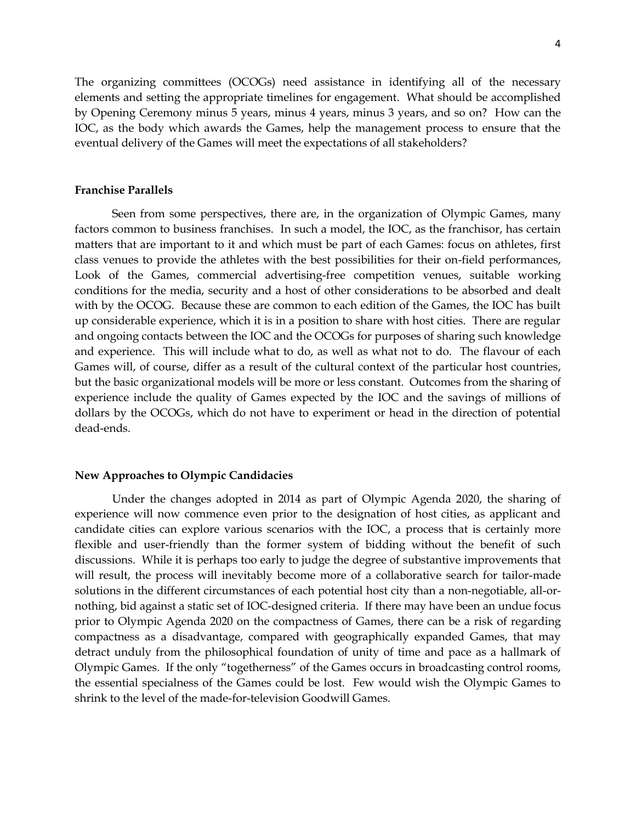The organizing committees (OCOGs) need assistance in identifying all of the necessary elements and setting the appropriate timelines for engagement. What should be accomplished by Opening Ceremony minus 5 years, minus 4 years, minus 3 years, and so on? How can the IOC, as the body which awards the Games, help the management process to ensure that the eventual delivery of the Games will meet the expectations of all stakeholders?

## **Franchise Parallels**

Seen from some perspectives, there are, in the organization of Olympic Games, many factors common to business franchises. In such a model, the IOC, as the franchisor, has certain matters that are important to it and which must be part of each Games: focus on athletes, first class venues to provide the athletes with the best possibilities for their on-field performances, Look of the Games, commercial advertising-free competition venues, suitable working conditions for the media, security and a host of other considerations to be absorbed and dealt with by the OCOG. Because these are common to each edition of the Games, the IOC has built up considerable experience, which it is in a position to share with host cities. There are regular and ongoing contacts between the IOC and the OCOGs for purposes of sharing such knowledge and experience. This will include what to do, as well as what not to do. The flavour of each Games will, of course, differ as a result of the cultural context of the particular host countries, but the basic organizational models will be more or less constant. Outcomes from the sharing of experience include the quality of Games expected by the IOC and the savings of millions of dollars by the OCOGs, which do not have to experiment or head in the direction of potential dead-ends.

# **New Approaches to Olympic Candidacies**

Under the changes adopted in 2014 as part of Olympic Agenda 2020, the sharing of experience will now commence even prior to the designation of host cities, as applicant and candidate cities can explore various scenarios with the IOC, a process that is certainly more flexible and user-friendly than the former system of bidding without the benefit of such discussions. While it is perhaps too early to judge the degree of substantive improvements that will result, the process will inevitably become more of a collaborative search for tailor-made solutions in the different circumstances of each potential host city than a non-negotiable, all-ornothing, bid against a static set of IOC-designed criteria. If there may have been an undue focus prior to Olympic Agenda 2020 on the compactness of Games, there can be a risk of regarding compactness as a disadvantage, compared with geographically expanded Games, that may detract unduly from the philosophical foundation of unity of time and pace as a hallmark of Olympic Games. If the only "togetherness" of the Games occurs in broadcasting control rooms, the essential specialness of the Games could be lost. Few would wish the Olympic Games to shrink to the level of the made-for-television Goodwill Games.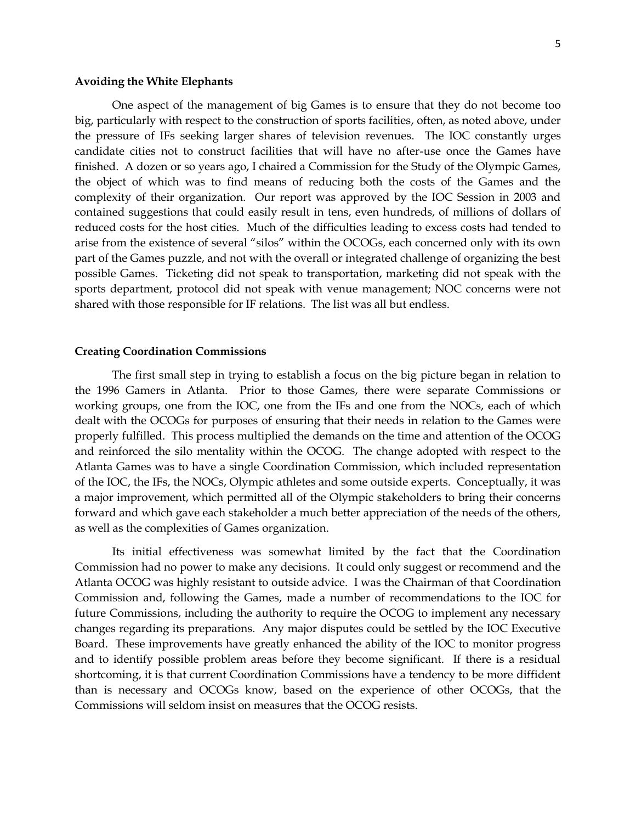#### **Avoiding the White Elephants**

One aspect of the management of big Games is to ensure that they do not become too big, particularly with respect to the construction of sports facilities, often, as noted above, under the pressure of IFs seeking larger shares of television revenues. The IOC constantly urges candidate cities not to construct facilities that will have no after-use once the Games have finished. A dozen or so years ago, I chaired a Commission for the Study of the Olympic Games, the object of which was to find means of reducing both the costs of the Games and the complexity of their organization. Our report was approved by the IOC Session in 2003 and contained suggestions that could easily result in tens, even hundreds, of millions of dollars of reduced costs for the host cities. Much of the difficulties leading to excess costs had tended to arise from the existence of several "silos" within the OCOGs, each concerned only with its own part of the Games puzzle, and not with the overall or integrated challenge of organizing the best possible Games. Ticketing did not speak to transportation, marketing did not speak with the sports department, protocol did not speak with venue management; NOC concerns were not shared with those responsible for IF relations. The list was all but endless.

## **Creating Coordination Commissions**

The first small step in trying to establish a focus on the big picture began in relation to the 1996 Gamers in Atlanta. Prior to those Games, there were separate Commissions or working groups, one from the IOC, one from the IFs and one from the NOCs, each of which dealt with the OCOGs for purposes of ensuring that their needs in relation to the Games were properly fulfilled. This process multiplied the demands on the time and attention of the OCOG and reinforced the silo mentality within the OCOG. The change adopted with respect to the Atlanta Games was to have a single Coordination Commission, which included representation of the IOC, the IFs, the NOCs, Olympic athletes and some outside experts. Conceptually, it was a major improvement, which permitted all of the Olympic stakeholders to bring their concerns forward and which gave each stakeholder a much better appreciation of the needs of the others, as well as the complexities of Games organization.

Its initial effectiveness was somewhat limited by the fact that the Coordination Commission had no power to make any decisions. It could only suggest or recommend and the Atlanta OCOG was highly resistant to outside advice. I was the Chairman of that Coordination Commission and, following the Games, made a number of recommendations to the IOC for future Commissions, including the authority to require the OCOG to implement any necessary changes regarding its preparations. Any major disputes could be settled by the IOC Executive Board. These improvements have greatly enhanced the ability of the IOC to monitor progress and to identify possible problem areas before they become significant. If there is a residual shortcoming, it is that current Coordination Commissions have a tendency to be more diffident than is necessary and OCOGs know, based on the experience of other OCOGs, that the Commissions will seldom insist on measures that the OCOG resists.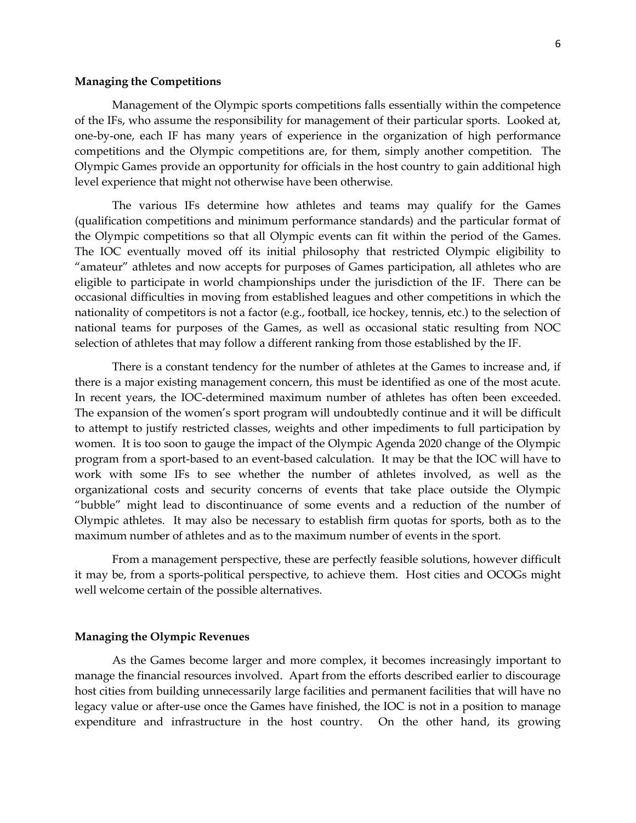#### **Managing the Competitions**

Management of the Olympic sports competitions falls essentially within the competence of the IFs, who assume the responsibility for management of their particular sports. Looked at, one-by-one, each IF has many years of experience in the organization of high performance competitions and the Olympic competitions are, for them, simply another competition. The Olympic Games provide an opportunity for officials in the host country to gain additional high level experience that might not otherwise have been otherwise.

The various IFs determine how athletes and teams may qualify for the Games (qualification competitions and minimum performance standards) and the particular format of the Olympic competitions so that all Olympic events can fit within the period of the Games. The IOC eventually moved off its initial philosophy that restricted Olympic eligibility to "amateur" athletes and now accepts for purposes of Games participation, all athletes who are eligible to participate in world championships under the jurisdiction of the IF. There can be occasional difficulties in moving from established leagues and other competitions in which the nationality of competitors is not a factor (e.g., football, ice hockey, tennis, etc.) to the selection of national teams for purposes of the Games, as well as occasional static resulting from NOC selection of athletes that may follow a different ranking from those established by the IF.

There is a constant tendency for the number of athletes at the Games to increase and, if there is a major existing management concern, this must be identified as one of the most acute. In recent years, the IOC-determined maximum number of athletes has often been exceeded. The expansion of the women's sport program will undoubtedly continue and it will be difficult to attempt to justify restricted classes, weights and other impediments to full participation by women. It is too soon to gauge the impact of the Olympic Agenda 2020 change of the Olympic program from a sport-based to an event-based calculation. It may be that the IOC will have to work with some IFs to see whether the number of athletes involved, as well as the organizational costs and security concerns of events that take place outside the Olympic "bubble" might lead to discontinuance of some events and a reduction of the number of Olympic athletes. It may also be necessary to establish firm quotas for sports, both as to the maximum number of athletes and as to the maximum number of events in the sport.

From a management perspective, these are perfectly feasible solutions, however difficult it may be, from a sports-political perspective, to achieve them. Host cities and OCOGs might well welcome certain of the possible alternatives.

# **Managing the Olympic Revenues**

As the Games become larger and more complex, it becomes increasingly important to manage the financial resources involved. Apart from the efforts described earlier to discourage host cities from building unnecessarily large facilities and permanent facilities that will have no legacy value or after-use once the Games have finished, the IOC is not in a position to manage expenditure and infrastructure in the host country. On the other hand, its growing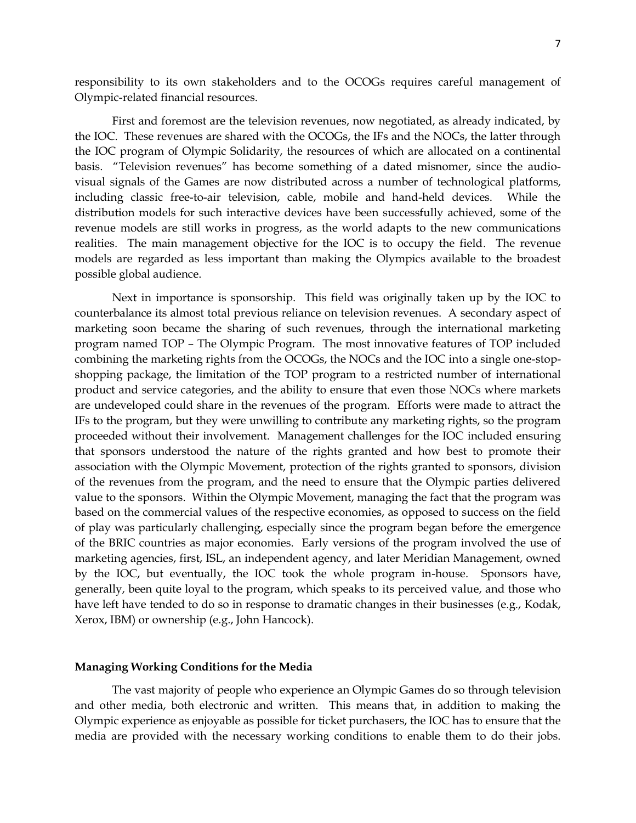responsibility to its own stakeholders and to the OCOGs requires careful management of Olympic-related financial resources.

First and foremost are the television revenues, now negotiated, as already indicated, by the IOC. These revenues are shared with the OCOGs, the IFs and the NOCs, the latter through the IOC program of Olympic Solidarity, the resources of which are allocated on a continental basis. "Television revenues" has become something of a dated misnomer, since the audiovisual signals of the Games are now distributed across a number of technological platforms, including classic free-to-air television, cable, mobile and hand-held devices. While the distribution models for such interactive devices have been successfully achieved, some of the revenue models are still works in progress, as the world adapts to the new communications realities. The main management objective for the IOC is to occupy the field. The revenue models are regarded as less important than making the Olympics available to the broadest possible global audience.

Next in importance is sponsorship. This field was originally taken up by the IOC to counterbalance its almost total previous reliance on television revenues. A secondary aspect of marketing soon became the sharing of such revenues, through the international marketing program named TOP – The Olympic Program. The most innovative features of TOP included combining the marketing rights from the OCOGs, the NOCs and the IOC into a single one-stopshopping package, the limitation of the TOP program to a restricted number of international product and service categories, and the ability to ensure that even those NOCs where markets are undeveloped could share in the revenues of the program. Efforts were made to attract the IFs to the program, but they were unwilling to contribute any marketing rights, so the program proceeded without their involvement. Management challenges for the IOC included ensuring that sponsors understood the nature of the rights granted and how best to promote their association with the Olympic Movement, protection of the rights granted to sponsors, division of the revenues from the program, and the need to ensure that the Olympic parties delivered value to the sponsors. Within the Olympic Movement, managing the fact that the program was based on the commercial values of the respective economies, as opposed to success on the field of play was particularly challenging, especially since the program began before the emergence of the BRIC countries as major economies. Early versions of the program involved the use of marketing agencies, first, ISL, an independent agency, and later Meridian Management, owned by the IOC, but eventually, the IOC took the whole program in-house. Sponsors have, generally, been quite loyal to the program, which speaks to its perceived value, and those who have left have tended to do so in response to dramatic changes in their businesses (e.g., Kodak, Xerox, IBM) or ownership (e.g., John Hancock).

#### **Managing Working Conditions for the Media**

The vast majority of people who experience an Olympic Games do so through television and other media, both electronic and written. This means that, in addition to making the Olympic experience as enjoyable as possible for ticket purchasers, the IOC has to ensure that the media are provided with the necessary working conditions to enable them to do their jobs.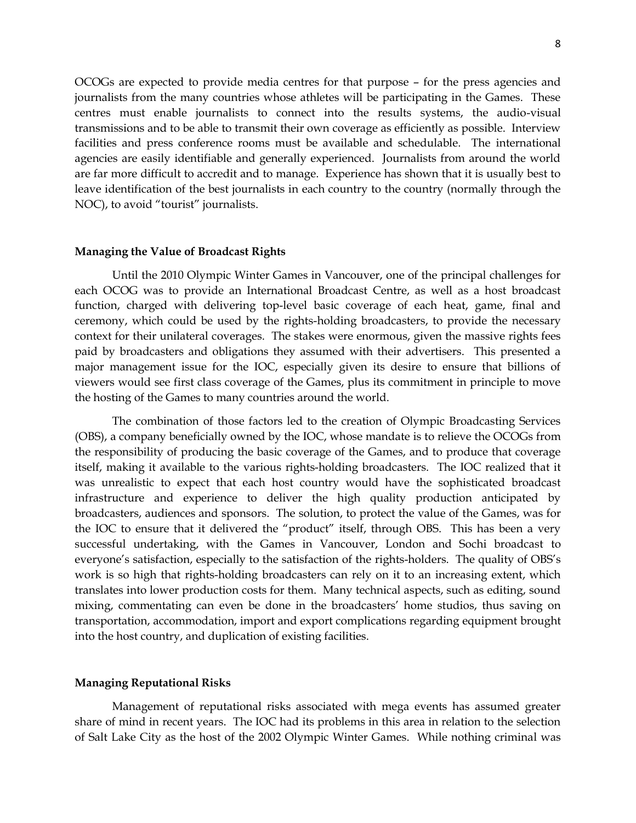OCOGs are expected to provide media centres for that purpose – for the press agencies and journalists from the many countries whose athletes will be participating in the Games. These centres must enable journalists to connect into the results systems, the audio-visual transmissions and to be able to transmit their own coverage as efficiently as possible. Interview facilities and press conference rooms must be available and schedulable. The international agencies are easily identifiable and generally experienced. Journalists from around the world are far more difficult to accredit and to manage. Experience has shown that it is usually best to leave identification of the best journalists in each country to the country (normally through the NOC), to avoid "tourist" journalists.

#### **Managing the Value of Broadcast Rights**

Until the 2010 Olympic Winter Games in Vancouver, one of the principal challenges for each OCOG was to provide an International Broadcast Centre, as well as a host broadcast function, charged with delivering top-level basic coverage of each heat, game, final and ceremony, which could be used by the rights-holding broadcasters, to provide the necessary context for their unilateral coverages. The stakes were enormous, given the massive rights fees paid by broadcasters and obligations they assumed with their advertisers. This presented a major management issue for the IOC, especially given its desire to ensure that billions of viewers would see first class coverage of the Games, plus its commitment in principle to move the hosting of the Games to many countries around the world.

The combination of those factors led to the creation of Olympic Broadcasting Services (OBS), a company beneficially owned by the IOC, whose mandate is to relieve the OCOGs from the responsibility of producing the basic coverage of the Games, and to produce that coverage itself, making it available to the various rights-holding broadcasters. The IOC realized that it was unrealistic to expect that each host country would have the sophisticated broadcast infrastructure and experience to deliver the high quality production anticipated by broadcasters, audiences and sponsors. The solution, to protect the value of the Games, was for the IOC to ensure that it delivered the "product" itself, through OBS. This has been a very successful undertaking, with the Games in Vancouver, London and Sochi broadcast to everyone's satisfaction, especially to the satisfaction of the rights-holders. The quality of OBS's work is so high that rights-holding broadcasters can rely on it to an increasing extent, which translates into lower production costs for them. Many technical aspects, such as editing, sound mixing, commentating can even be done in the broadcasters' home studios, thus saving on transportation, accommodation, import and export complications regarding equipment brought into the host country, and duplication of existing facilities.

## **Managing Reputational Risks**

Management of reputational risks associated with mega events has assumed greater share of mind in recent years. The IOC had its problems in this area in relation to the selection of Salt Lake City as the host of the 2002 Olympic Winter Games. While nothing criminal was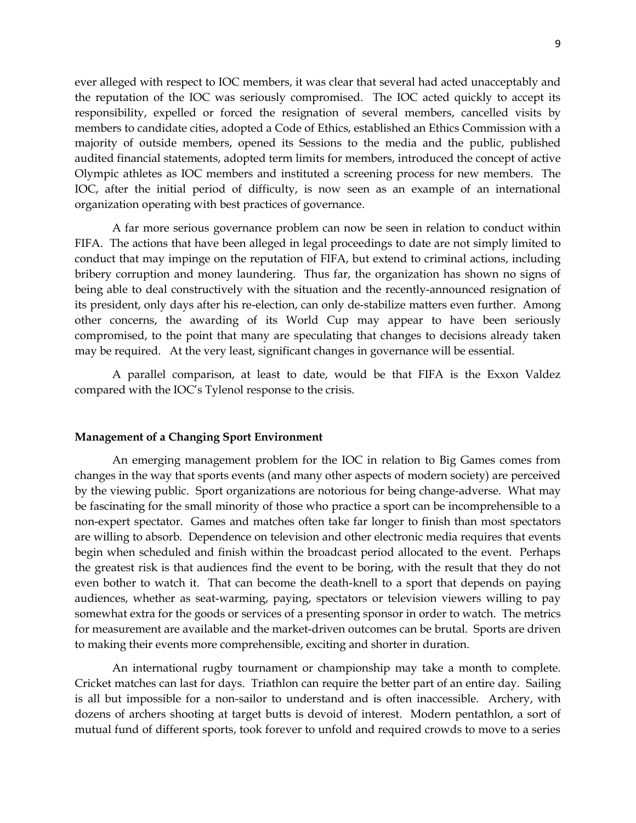ever alleged with respect to IOC members, it was clear that several had acted unacceptably and the reputation of the IOC was seriously compromised. The IOC acted quickly to accept its responsibility, expelled or forced the resignation of several members, cancelled visits by members to candidate cities, adopted a Code of Ethics, established an Ethics Commission with a majority of outside members, opened its Sessions to the media and the public, published audited financial statements, adopted term limits for members, introduced the concept of active Olympic athletes as IOC members and instituted a screening process for new members. The IOC, after the initial period of difficulty, is now seen as an example of an international organization operating with best practices of governance.

A far more serious governance problem can now be seen in relation to conduct within FIFA. The actions that have been alleged in legal proceedings to date are not simply limited to conduct that may impinge on the reputation of FIFA, but extend to criminal actions, including bribery corruption and money laundering. Thus far, the organization has shown no signs of being able to deal constructively with the situation and the recently-announced resignation of its president, only days after his re-election, can only de-stabilize matters even further. Among other concerns, the awarding of its World Cup may appear to have been seriously compromised, to the point that many are speculating that changes to decisions already taken may be required. At the very least, significant changes in governance will be essential.

A parallel comparison, at least to date, would be that FIFA is the Exxon Valdez compared with the IOC's Tylenol response to the crisis.

## **Management of a Changing Sport Environment**

An emerging management problem for the IOC in relation to Big Games comes from changes in the way that sports events (and many other aspects of modern society) are perceived by the viewing public. Sport organizations are notorious for being change-adverse. What may be fascinating for the small minority of those who practice a sport can be incomprehensible to a non-expert spectator. Games and matches often take far longer to finish than most spectators are willing to absorb. Dependence on television and other electronic media requires that events begin when scheduled and finish within the broadcast period allocated to the event. Perhaps the greatest risk is that audiences find the event to be boring, with the result that they do not even bother to watch it. That can become the death-knell to a sport that depends on paying audiences, whether as seat-warming, paying, spectators or television viewers willing to pay somewhat extra for the goods or services of a presenting sponsor in order to watch. The metrics for measurement are available and the market-driven outcomes can be brutal. Sports are driven to making their events more comprehensible, exciting and shorter in duration.

An international rugby tournament or championship may take a month to complete. Cricket matches can last for days. Triathlon can require the better part of an entire day. Sailing is all but impossible for a non-sailor to understand and is often inaccessible. Archery, with dozens of archers shooting at target butts is devoid of interest. Modern pentathlon, a sort of mutual fund of different sports, took forever to unfold and required crowds to move to a series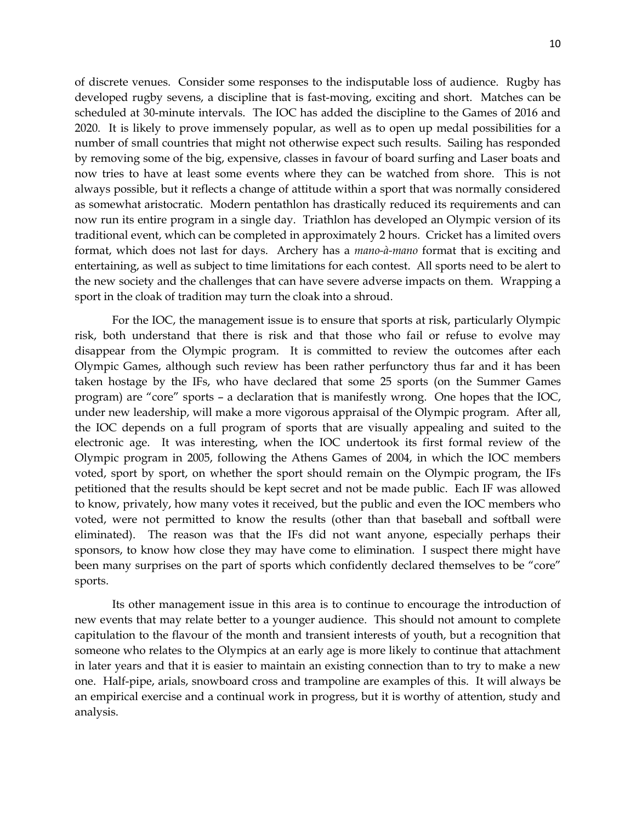of discrete venues. Consider some responses to the indisputable loss of audience. Rugby has developed rugby sevens, a discipline that is fast-moving, exciting and short. Matches can be scheduled at 30-minute intervals. The IOC has added the discipline to the Games of 2016 and 2020. It is likely to prove immensely popular, as well as to open up medal possibilities for a number of small countries that might not otherwise expect such results. Sailing has responded by removing some of the big, expensive, classes in favour of board surfing and Laser boats and now tries to have at least some events where they can be watched from shore. This is not always possible, but it reflects a change of attitude within a sport that was normally considered as somewhat aristocratic. Modern pentathlon has drastically reduced its requirements and can now run its entire program in a single day. Triathlon has developed an Olympic version of its traditional event, which can be completed in approximately 2 hours. Cricket has a limited overs format, which does not last for days. Archery has a *mano-à-mano* format that is exciting and entertaining, as well as subject to time limitations for each contest. All sports need to be alert to the new society and the challenges that can have severe adverse impacts on them. Wrapping a sport in the cloak of tradition may turn the cloak into a shroud.

For the IOC, the management issue is to ensure that sports at risk, particularly Olympic risk, both understand that there is risk and that those who fail or refuse to evolve may disappear from the Olympic program. It is committed to review the outcomes after each Olympic Games, although such review has been rather perfunctory thus far and it has been taken hostage by the IFs, who have declared that some 25 sports (on the Summer Games program) are "core" sports – a declaration that is manifestly wrong. One hopes that the IOC, under new leadership, will make a more vigorous appraisal of the Olympic program. After all, the IOC depends on a full program of sports that are visually appealing and suited to the electronic age. It was interesting, when the IOC undertook its first formal review of the Olympic program in 2005, following the Athens Games of 2004, in which the IOC members voted, sport by sport, on whether the sport should remain on the Olympic program, the IFs petitioned that the results should be kept secret and not be made public. Each IF was allowed to know, privately, how many votes it received, but the public and even the IOC members who voted, were not permitted to know the results (other than that baseball and softball were eliminated). The reason was that the IFs did not want anyone, especially perhaps their sponsors, to know how close they may have come to elimination. I suspect there might have been many surprises on the part of sports which confidently declared themselves to be "core" sports.

Its other management issue in this area is to continue to encourage the introduction of new events that may relate better to a younger audience. This should not amount to complete capitulation to the flavour of the month and transient interests of youth, but a recognition that someone who relates to the Olympics at an early age is more likely to continue that attachment in later years and that it is easier to maintain an existing connection than to try to make a new one. Half-pipe, arials, snowboard cross and trampoline are examples of this. It will always be an empirical exercise and a continual work in progress, but it is worthy of attention, study and analysis.